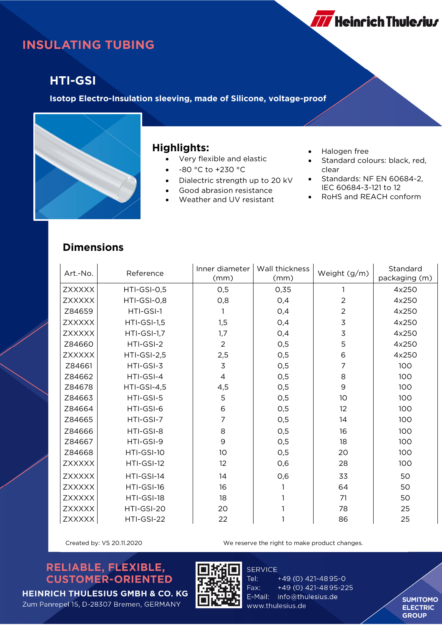# **INSULATING TUBING**

### **HTI-GSI**

**Isotop Electro-Insulation sleeving, made of Silicone, voltage-proof**



#### **Highlights:**

- Very flexible and elastic
- -80 °C to +230 °C
- Dialectric strength up to 20 kV
- Good abrasion resistance
- Weather and UV resistant
- Halogen free
- Standard colours: black, red, clear

**777** Heinrich Thule*r*iu*r* 

- Standards: NF EN 60684-2, IEC 60684-3-121 to 12
- RoHS and REACH conform

#### **Dimensions**

| Art.-No.      | Reference   | Inner diameter<br>(mm) | Wall thickness<br>(mm) | Weight (g/m)   | Standard<br>packaging (m) |
|---------------|-------------|------------------------|------------------------|----------------|---------------------------|
| <b>ZXXXXX</b> | HTI-GSI-0,5 | O,5                    | 0,35                   |                | 4x250                     |
| <b>ZXXXXX</b> | HTI-GSI-0,8 | O, 8                   | 0,4                    | $\overline{a}$ | 4x250                     |
| Z84659        | HTI-GSI-1   |                        | 0,4                    | $\overline{c}$ | 4x250                     |
| <b>ZXXXXX</b> | HTI-GSI-1,5 | 1,5                    | O,4                    | $\overline{3}$ | 4x250                     |
| <b>ZXXXXX</b> | HTI-GSI-1,7 | 1,7                    | O,4                    | $\overline{3}$ | 4x250                     |
| Z84660        | HTI-GSI-2   | $\overline{2}$         | 0,5                    | 5              | 4x250                     |
| <b>ZXXXXX</b> | HTI-GSI-2,5 | 2,5                    | 0,5                    | 6              | 4x250                     |
| Z84661        | HTI-GSI-3   | $\overline{3}$         | 0,5                    | 7              | 100                       |
| Z84662        | HTI-GSI-4   | 4                      | O, 5                   | 8              | 100                       |
| Z84678        | HTI-GSI-4,5 | 4,5                    | O, 5                   | $\mathsf 9$    | 100                       |
| Z84663        | HTI-GSI-5   | 5                      | O,5                    | 10             | 100                       |
| Z84664        | HTI-GSI-6   | 6                      | O, 5                   | 12             | 100                       |
| Z84665        | HTI-GSI-7   | $\overline{7}$         | O, 5                   | 14             | 100                       |
| Z84666        | HTI-GSI-8   | 8                      | 0,5                    | 16             | 100                       |
| Z84667        | HTI-GSI-9   | 9                      | 0,5                    | 18             | 100                       |
| Z84668        | HTI-GSI-10  | 10                     | O, 5                   | 20             | 100                       |
| <b>ZXXXXX</b> | HTI-GSI-12  | 12                     | O,6                    | 28             | 100                       |
| <b>ZXXXXX</b> | HTI-GSI-14  | 14                     | 0,6                    | 33             | 50                        |
| <b>ZXXXXX</b> | HTI-GSI-16  | 16                     |                        | 64             | 50                        |
| <b>ZXXXXX</b> | HTI-GSI-18  | 18                     |                        | 71             | 50                        |
| ZXXXXX        | HTI-GSI-20  | 20                     |                        | 78             | 25                        |
| ZXXXXX        | HTI-GSI-22  | 22                     |                        | 86             | 25                        |

Created by: VS 20.11.2020 We reserve the right to make product changes.

### RELIABLE, FLEXIBLE, **CUSTOMER-ORIENTED**



**SERVICE** Tel: +49 (0) 421-4895-0 Fax: +49 (0) 421-4895-225 E-Mail: info@thulesius.de www.thulesius.de

**SUMITOMO ELECTRIC GROUP** 

**HEINRICH THULESIUS GMBH & CO. KG** Zum Panrepel 15, D-28307 Bremen, GERMANY